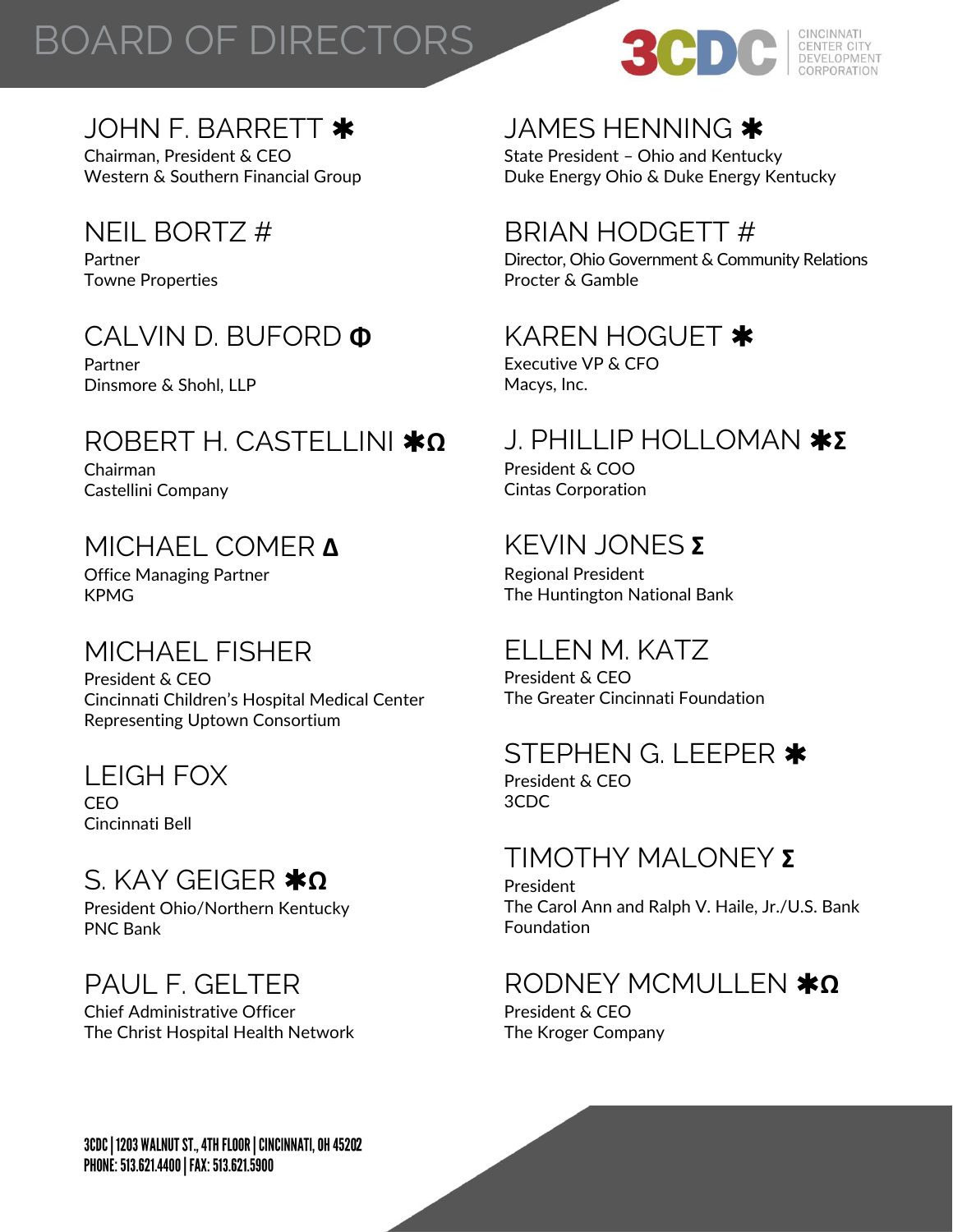# BOARD OF DIRECTORS



#### JOHN F. BARRETT \*

Chairman, President & CEO Western & Southern Financial Group

# NEIL BORTZ #

Partner Towne Properties

## CALVIN D. BUFORD **Φ**

Partner Dinsmore & Shohl, LLP

## ROBERT H. CASTELLINI **Ω**

Chairman Castellini Company

### MICHAEL COMER **Δ**

Office Managing Partner KPMG

# MICHAEL FISHER

President & CEO Cincinnati Children's Hospital Medical Center Representing Uptown Consortium

#### LEIGH FOX

CEO Cincinnati Bell

# S. KAY GFIGFR **\*Ω**

President Ohio/Northern Kentucky PNC Bank

# PAUL F. GELTER

Chief Administrative Officer The Christ Hospital Health Network

## JAMES HENNING

State President – Ohio and Kentucky Duke Energy Ohio & Duke Energy Kentucky

## BRIAN HODGETT #

Director, Ohio Government & Community Relations Procter & Gamble

### KAREN HOGUET \*

Executive VP & CFO Macys, Inc.

## J. PHILLIP HOLLOMAN **Σ**

President & COO Cintas Corporation

## KEVIN JONES **Σ**

Regional President The Huntington National Bank

# ELLEN M. KATZ

President & CEO The Greater Cincinnati Foundation

#### STEPHEN G. LEEPER \*

President & CEO 3CDC

#### TIMOTHY MALONEY **Σ**

President The Carol Ann and Ralph V. Haile, Jr./U.S. Bank Foundation

## RODNEY MCMULLEN **\*Ω**

President & CEO The Kroger Company

3CDC | 1203 WALNUT ST., 4TH FLOOR | CINCINNATI, OH 45202 PHONE: 513.621.4400 | FAX: 513.621.5900